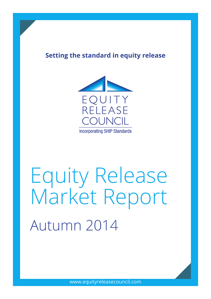# **Setting the standard in equity release**



# Equity Release Market Report Autumn 2014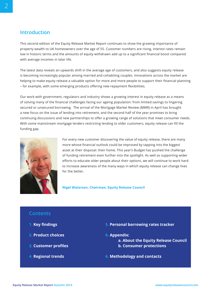## **Introduction**

This second edition of the Equity Release Market Report continues to show the growing importance of property wealth to UK homeowners over the age of 55. Customer numbers are rising, interest rates remain low in historic terms and the amounts of equity withdrawn add up to a significant financial boost compared with average incomes in later life.

The latest data reveals an upwards shift in the average age of customers, and also suggests equity release is becoming increasingly popular among married and cohabiting couples. Innovations across the market are helping to make equity release a valuable option for more and more people to support their financial planning – for example, with some emerging products offering new repayment flexibilities.

Our work with government, regulators and industry shows a growing interest in equity release as a means of solving many of the financial challenges facing our ageing population: from limited savings to lingering secured or unsecured borrowing. The arrival of the Mortgage Market Review (MMR) in April has brought a new focus on the issue of lending into retirement, and the second half of the year promises to bring continuing discussions and new partnerships to offer a growing range of solutions that meet consumer needs. With some mainstream mortgage lenders restricting lending to older customers, equity release can fill the funding gap.



For every new customer discovering the value of equity release, there are many more whose financial outlook could be improved by tapping into the biggest asset at their disposal: their home. This year's Budget has pushed the challenge of funding retirement even further into the spotlight. As well as supporting wider efforts to educate older people about their options, we will continue to work hard to increase awareness of the many ways in which equity release can change lives for the better.

**Nigel Waterson, Chairman, Equity Release Council**

### **Contents**

- **1. Key findings**
- **2. Product choices**
- **3. Customer profiles**
- **4. Regional trends**
- **5. Personal borrowing rates tracker**
- **6. Appendix:**
	- **a. About the Equity Release Council b. Consumer protections**
- **6. Methodology and contacts**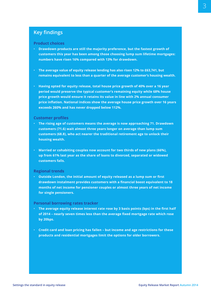# **Key findings**

#### **Product choices**

- **Drawdown products are still the majority preference, but the fastest growth of customers this year has been among those choosing lump sum lifetime mortgages: numbers have risen 16% compared with 13% for drawdown.**
- **The average value of equity release lending has also risen 12% to £63,741, but remains equivalent to less than a quarter of the average customer's housing wealth.**
- **Having opted for equity release, total house price growth of 40% over a 16 year period would preserve the typical customer's remaining equity while 68% house price growth would ensure it retains its value in line with 2% annual consumer price inflation. National indices show the average house price growth over 16 years exceeds 260% and has never dropped below 110%. 112%.**

#### **Customer profiles**

- **The rising age of customers means the average is now approaching 71. Drawdown customers (71.6) wait almost three years longer on average than lump sum customers (68.8), who act nearer the traditional retirement age to unlock their housing wealth.**
- **Married or cohabiting couples now account for two thirds of new plans (66%), up from 61% last year as the share of loans to divorced, separated or widowed customers falls.**

#### **Regional trends**

• **Outside London, the initial amount of equity released as a lump sum or first drawdown instalment provides customers with a financial boost equivalent to 18 months of net income for pensioner couples or almost three years of net income for single pensioners.**

#### **Personal borrowing rates tracker**

- **The average equity release interest rate rose by 3 basis points (bps) in the first half of 2014 – nearly seven times less than the average fixed mortgage rate which rose by 20bps.**
- **Credit card and loan pricing has fallen but income and age restrictions for these products and residential mortgages limit the options for older borrowers.**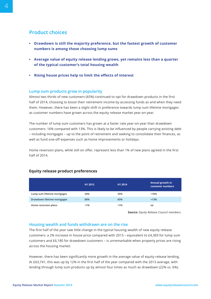# **Product choices**

- **• Drawdown is still the majority preference, but the fastest growth of customer numbers is among those choosing lump sums**
- **• Average value of equity release lending grows, yet remains less than a quarter of the typical customer's total housing wealth**
- **• Rising house prices help to limit the effects of interest**

#### **Lump sum products grow in popularity**

Almost two thirds of new customers (65%) continued to opt for drawdown products in the first half of 2014, choosing to boost their retirement income by accessing funds as and when they need them. However, there has been a slight shift in preference towards lump sum lifetime mortgages as customer numbers have grown across the equity release market year-on-year.

The number of lump sum customers has grown at a faster rate year-on-year than drawdown customers: 16% compared with 13%. This is likely to be influenced by people carrying existing debt – including mortgages – up to the point of retirement and seeking to consolidate their finances, as well as fund one-off expenses such as home improvements or holidays.

Home reversion plans, while still on offer, represent less than 1% of new plans agreed in the first half of 2014.

|                             | H1 2013 | H1 2014 | <b>Annual growth in</b><br>customer numbers |
|-----------------------------|---------|---------|---------------------------------------------|
| Lump sum lifetime mortgages | 34%     | 35%     | $+16%$                                      |
| Drawdown lifetime mortgages | 66%     | 65%     | $+13%$                                      |
| Home reversion plans        | < 1%    | $< 1\%$ | na                                          |

#### **Equity release product preferences**

*Source: Equity Release Council members.*

#### **Housing wealth and funds withdrawn are on the rise**

The first half of the year saw little change in the typical housing wealth of new equity release customers: a 2% increase in house price compared with 2013 – equivalent to £4,369 for lump sum customers and £6,180 for drawdown customers – is unremarkable when property prices are rising across the housing market.

However, there has been significantly more growth in the average value of equity release lending. At £63,741, this was up by 12% in the first half of the year compared with the 2013 average, with lending through lump sum products up by almost four times as much as drawdown (22% vs. 6%).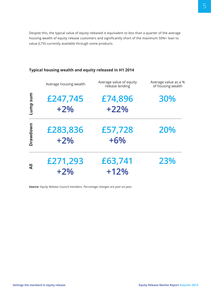Despite this, the typical value of equity released is equivalent to less than a quarter of the average housing wealth of equity release customers and significantly short of the maximum 50%+ loan to value (LTV) currently available through some products.

|                | Average housing wealth | Average value of equity<br>release lending | Average value as a %<br>of housing wealth |  |
|----------------|------------------------|--------------------------------------------|-------------------------------------------|--|
| mns dun-       | £247,745<br>$+2%$      | £74,896<br>$+22%$                          | 30%                                       |  |
| orawdown       | £283,836<br>$+2%$      | £57,728<br>$+6%$                           | 20%                                       |  |
| $\overline{a}$ | £271,293<br>$+2%$      | £63,741<br>$+12%$                          | 23%                                       |  |

#### **Typical housing wealth and equity released in H1 2014**

*Source: Equity Release Council members. Percentage changes are year-on-year.*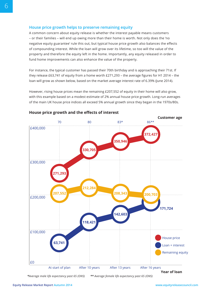#### **House price growth helps to preserve remaining equity**

A common concern about equity release is whether the interest payable means customers – or their families – will end up owing more than their home is worth. Not only does the 'no negative equity guarantee' rule this out, but typical house price growth also balances the effects of compounding interest. While the loan will grow over its lifetime, so too will the value of the property and therefore the equity left in the home. Importantly, any equity released in order to fund home improvements can also enhance the value of the property.

For instance, the typical customer has passed their 70th birthday and is approaching their 71st. If they release £63,741 of equity from a home worth £271,293 – the average figures for H1 2014 – the loan will grow as shown below, based on the market average interest rate of 6.39% (June 2014).

However, rising house prices mean the remaining £207,552 of equity in their home will also grow, with this example based on a modest estimate of 2% annual house price growth. Long-run averages of the main UK house price indices all exceed 5% annual growth since they began in the 1970s/80s.



**House price growth and the effects of interest**

*\*Average male life expectancy past 65 (ONS) \*\* Average female life expectancy past 65 (ONS)*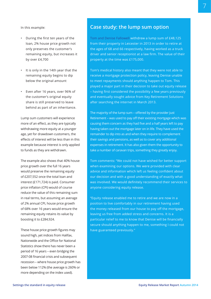In this example:

- During the first ten years of the loan, 2% house price growth not only preserves the customer's remaining equity, but increases it by over £4,700
- It is only in the 14th year that the remaining equity begins to dip below the original amount
- Even after 16 years, over 96% of the customer's original equity share is still preserved to leave behind as part of an inheritance.

Lump sum customers will experience more of an effect, as they are typically withdrawing more equity at a younger age, yet for drawdown customers, the effects of interest will be less than in this example because interest is only applied to funds as they are withdrawn.

The example also shows that 40% house price growth over the full 16 years would preserve the remaining equity of £207,552 once the total loan and interest (£171,724) is paid. Consumer price inflation (CPI) would of course reduce the value of this remaining sum in real terms, but assuming an average of 2% annual CPI, house price growth of 68% over 16 years would ensure the remaining equity retains its value by boosting it to £284,924.

These house price growth figures may sound high, yet indices from Halifax, Nationwide and the Office for National Statistics show there has never been a period of 16 years – even bridging the 2007-08 financial crisis and subsequent recession – where house price growth has been below 112% (the average is 260% or more depending on the index used).

# **Case study: the lump sum option**

Tom and Denise Fallowell withdrew a lump sum of £48,125 from their property in Leicester in 2013 in order to retire at the ages of 68 and 66 respectively, having worked as a truck driver and senior receptionist at a law firm. The value of their property at the time was £175,000.

Tom's medical history also meant that they were not able to receive a mortgage protection policy, leaving Denise unable to meet repayments should anything happen to Tom. This played a major part in their decision to take out equity release – having first considered the possibility a few years previously and eventually sought advice from Key Retirement Solutions after searching the internet in March 2013.

The majority of the lump sum – offered by the provider lust Retirement – was used to pay off their existing mortgage which was causing them concern as they had five and a half years left to pay having taken out the mortgage later on in life. They have used the remainder to dip into as and when they require to complement their savings and pensions, as well as to cover any additional expenses in retirement. It has also given them the opportunity to take a number of caravan trips, something they greatly enjoy.

Tom comments: "We could not have wished for better support when examining our options. We were provided with clear advice and information which left us feeling confident about our decision and with a good understanding of exactly what was involved. We would definitely recommend their services to anyone considering equity release.

"Equity release enabled me to retire and we are now in a position to live comfortably in our retirement having used the money released from our house to pay off the mortgage, leaving us free from added stress and concerns. It is a particular relief to me to know that Denise will be financially secure should anything happen to me, something I could not have guaranteed previously."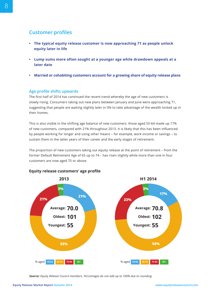# **Customer profiles**

- **• The typical equity release customer is now approaching 71 as people unlock equity later in life**
- **• Lump sums more often sought at a younger age while drawdown appeals at a later date**
- **• Married or cohabiting customers account for a growing share of equity release plans**

#### **Age profile shifts upwards**

The first half of 2014 has continued the recent trend whereby the age of new customers is slowly rising. Consumers taking out new plans between January and June were approaching 71, suggesting that people are waiting slightly later in life to take advantage of the wealth locked up in their homes.

This is also visible in the shifting age balance of new customers: those aged 55-64 made up 17% of new customers, compared with 21% throughout 2013. It is likely that this has been influenced by people working for longer and using other means – for example, work income or savings – to sustain them in the latter years of their career and the early stages of retirement.

The proportion of new customers taking out equity release at the point of retirement – from the former Default Retirement Age of 65 up to 74 – has risen slightly while more than one in four customers are now aged 75 or above.



#### **Equity release customers' age profile**

*Source: Equity Release Council members. Percentages do not add up to 100% due to rounding.*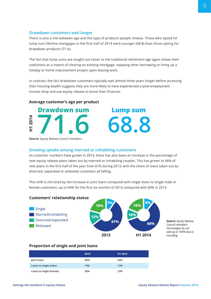#### **Drawdown customers wait longer**

There is also a link between age and the type of products people choose. Those who opted for lump sum lifetime mortgages in the first half of 2014 were younger (68.8) than those opting for drawdown products (71.6).

The fact that lump sums are sought out closer to the traditional retirement age again shows their usefulness as a means of clearing an existing mortgage, repaying other borrowing or lining up a holiday or home improvement project upon leaving work.

In contrast, the fact drawdown customers typically wait almost three years longer before accessing their housing wealth suggests they are more likely to have experienced a post-employment income drop and use equity release to boost their finances.

**71.6 68.8**

#### **Average customer's age per product**



*Source: Equity Release Council members*

#### **Growing uptake among married or cohabiting customers**

As customer numbers have grown in 2014, there has also been an increase in the percentage of new equity release plans taken out by married or cohabiting couples. This has grown to 66% of new plans in the first half of the year from 61% during 2013, with the share of loans taken out by divorced, separated or widowed customers all falling.

This shift is mirrored by the increase in joint loans compared with single loans to single male or female customers: up to 64% for the first six months of 2014 compared with 60% in 2013.



*Source: Equity Release Council members. Percentages do not add up to 100% due to rounding.*

#### **Proportion of single and joint loans**

|                         | 2013 | H1 2014 |
|-------------------------|------|---------|
| Joint loans             | 60%  | 64%     |
| Loans to single males   | 14%  | 13%     |
| Loans to single females | 26%  | 23%     |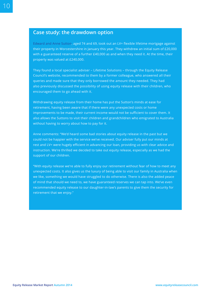10

## **Case study: the drawdown option**

Edward and Anne Sutton, aged 74 and 69, took out an LV= flexible lifetime mortgage against their property in Worcestershire in January this year. They withdrew an initial sum of £20,000 with a guaranteed reserve of a further  $E40,000$  as and when they need it. At the time, their property was valued at £240,000.

They found a local specialist adviser – Lifetime Solutions – through the Equity Release Council's website, recommended to them by a former colleague, who answered all their queries and made sure that they only borrowed the amount they needed. They had also previously discussed the possibility of using equity release with their children, who encouraged them to go ahead with it.

Withdrawing equity release from their home has put the Sutton's minds at ease for retirement, having been aware that if there were any unexpected costs or home improvements to be made, their current income would not be sufficient to cover them. It also allows the Suttons to visit their children and grandchildren who emigrated to Australia without having to worry about how to pay for it.

Anne comments: "We'd heard some bad stories about equity release in the past but we could not be happier with the service we've received. Our adviser fully put our minds at rest and LV= were hugely efficient in advancing our loan, providing us with clear advice and instruction. We're thrilled we decided to take out equity release, especially as we had the support of our children.

"With equity release we're able to fully enjoy our retirement without fear of how to meet any unexpected costs. It also gives us the luxury of being able to visit our family in Australia when we like, something we would have struggled to do otherwise. There is also the added peace of mind that should we need to, we have guaranteed reserves we can tap into. We've even recommended equity release to our daughter-in-law's parents to give them the security for retirement that we enjoy."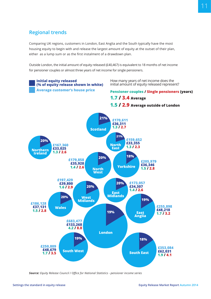# **Regional trends**

Comparing UK regions, customers in London, East Anglia and the South typically have the most housing equity to begin with and release the largest amount of equity at the outset of their plan, either as a lump sum or as the first instalment of a drawdown plan.

Outside London, the initial amount of equity released (£40,467) is equivalent to 18 months of net income for pensioner couples or almost three years of net income for single pensioners.



*Source: Equity Release Council / Office for National Statistics - pensioner income series*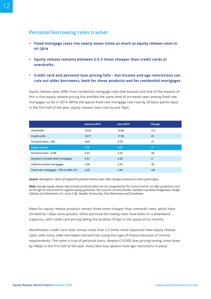# **Personal borrowing rates tracker**

- **• Fixed mortgage rates rise nearly seven times as much as equity release rates in H1 2014**
- **• Equity release remains between 2.5-3 times cheaper than credit cards or overdrafts**
- **• Credit card and personal loan pricing falls but income and age restrictions can rule out older borrowers, both for these products and for residential mortgages**

Equity release rates differ from residential mortgage rates (see boxout) and one of the impacts of this is that equity release pricing has avoided the same level of increases seen among fixed rate mortgages so far in 2014. While the typical fixed rate mortgage rate rose by 20 basis points (bps) in the first half of the year, equity release rates rose by just 3bps.

|                                         | January 2014 | <b>June 2014</b> | Change |
|-----------------------------------------|--------------|------------------|--------|
| Overdrafts                              | 19.54        | 19.66            | $+12$  |
| Credit cards                            | 18.17        | 17.36            | $-81$  |
| Personal loans - £5k                    | 9.89         | 9.78             | $-11$  |
| <b>Equity release</b>                   | 6.36         | 6.39             | $+3$   |
| Personal loans - £10k                   | 5.57         | 5.23             | $-34$  |
| <b>Standard Variable Rate mortgages</b> | 4.41         | 4.36             | $-5$   |
| Lifetime tracker mortgages              | 2.96         | 2.76             | $-20$  |
| Fixed rate mortgages - 75% to 90% LTV   | 3.25         | 3.45             | $+20$  |

*Source: Moneyfacts / Bank of England household interest rates. Rate changes measured in basis points (bps).*

*Note: average equity release rates exclude products which are not recognised by The Council and do not offer protections such as the right to tenure and no negative equity guarantee. The Council's current provider members are Aviva, Bridgewater, Hodge Lifetime, Just Retirement, LV=, more 2 life, Newlife, Partnership, Pure Retirement and Stonehaven*

Rates for equity release products remain three times cheaper than overdraft rates, which have climbed by 12bps since January. Other personal borrowing rates have been on a downward trajectory, with credit card pricing falling the furthest: 81bps in the space of six months.

Nonetheless, credit card rates remain more than 2.5 times more expensive than equity release rates, with many older borrowers barred from using this type of finance because of income requirements. The same is true of personal loans: despite £10,000 loan pricing having come down by 34bps in the first half of the year, many best buy options have age restrictions in place.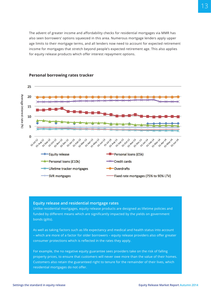The advent of greater income and affordability checks for residential mortgages via MMR has also seen borrowers' options squeezed in this area. Numerous mortgage lenders apply upper age limits to their mortgage terms, and all lenders now need to account for expected retirement income for mortgages that stretch beyond people's expected retirement age. This also applies for equity release products which offer interest repayment options.



#### **Personal borrowing rates tracker**

#### **Equity release and residential mortgage rates**

Unlike residential mortgages, equity release products are designed as lifetime policies and funded by different means which are significantly impacted by the yields on government bonds (gilts).

As well as taking factors such as life expectancy and medical and health status into account – which are more of a factor for older borrowers – equity release providers also offer greater consumer protections which is reflected in the rates they apply.

For example, the no negative equity guarantee sees providers take on the risk of falling property prices, to ensure that customers will never owe more than the value of their homes. Customers also retain the guaranteed right to tenure for the remainder of their lives, which residential mortgages do not offer.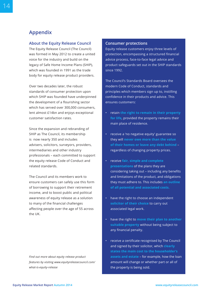# **Appendix**

#### **About the Equity Release Council**

The Equity Release Council (The Council) was formed in May 2012 to create a united voice for the industry and build on the legacy of Safe Home Income Plans (SHIP), which was founded in 1991 as the trade body for equity release product providers.

Over two decades later, the robust standards of consumer protection upon which SHIP was founded have underpinned the development of a flourishing sector which has served over 300,000 consumers, lent almost £14bn and enjoys exceptional customer satisfaction rates.

Since the expansion and rebranding of SHIP as The Council, its membership is now nearly 350 and includes advisers, solicitors, surveyors, providers, intermediaries and other industry professionals – each committed to support the equity release Code of Conduct and related standards.

The Council and its members work to ensure customers can safely use this form of borrowing to support their retirement income, and to boost public and political awareness of equity release as a solution to many of the financial challenges affecting people over the age of 55 across the UK.

*Find out more about equity release product features by visiting www.equityreleasecouncil.com/ what-is-equity-release*

#### **Consumer protections**

Equity release customers enjoy three levels of protection, encompassing a structured financial advice process, face-to-face legal advice and product safeguards set out in the SHIP standards since 1992.

The Council's Standards Board oversees the modern Code of Conduct, standards and principles which members sign up to, instilling confidence in their products and advice. This ensures customers:

- retain **the right to remain in their property for life**, provided the property remains their main place of residence.
- receive a 'no negative equity' guarantee so they will **never owe more than the value of their homes or leave any debt behind** – regardless of changing property prices.
- receive **fair, simple and complete presentations** of the plans they are considering taking out – including any benefits and limitations of the product, and obligations they must adhere to. This includes **an outline of all potential and associated costs.**
- have the right to choose an independent **solicitor of their choice** to carry out associated legal work.
- have the right to **move their plan to another suitable property** without being subject to any financial penalty.
- receive a certificate recognised by The Council and signed by their solicitor, which **clearly states the main cost to the householder's assets and estate** – for example, how the loan amount will change or whether part or all of the property is being sold.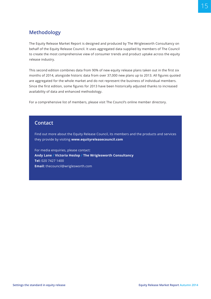# **Methodology**

The Equity Release Market Report is designed and produced by The Wriglesworth Consultancy on behalf of the Equity Release Council. It uses aggregated data supplied by members of The Council to create the most comprehensive view of consumer trends and product uptake across the equity release industry.

This second edition combines data from 90% of new equity release plans taken out in the first six months of 2014, alongside historic data from over 37,000 new plans up to 2013. All figures quoted are aggregated for the whole market and do not represent the business of individual members. Since the first edition, some figures for 2013 have been historically adjusted thanks to increased availability of data and enhanced methodology.

For a comprehensive list of members, please visit The Council's online member directory.

## **Contact**

Find out more about the Equity Release Council, its members and the products and services they provide by visiting **www.equityreleasecouncil.com**

For media enquiries, please contact: **Andy Lane / Victoria Heslop / The Wriglesworth Consultancy Tel:** 020 7427 1400 **Email:** thecouncil@wriglesworth.com